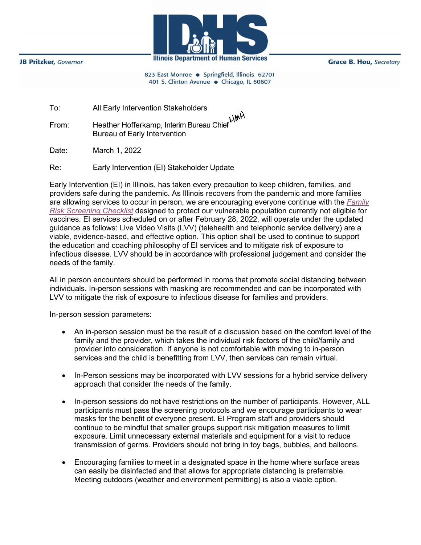**JB Pritzker**, Governor



**Grace B. Hou, Secretary** 

823 East Monroe · Springfield, Illinois 62701 401 S. Clinton Avenue · Chicago, IL 60607

| All Early Intervention Stakeholders |
|-------------------------------------|
|                                     |

From: Heather Hofferkamp, Interim Bureau Chief Bureau of Early Intervention

Date: March 1, 2022

Re: Early Intervention (EI) Stakeholder Update

Early Intervention (EI) in Illinois, has taken every precaution to keep children, families, and providers safe during the pandemic. As Illinois recovers from the pandemic and more families are allowing services to occur in person, we are encouraging everyone continue with the *[Family](https://secure-web.cisco.com/1yvaWAcQFfxEIYB7nl3HLItmgMf8KG743OFrhENTN9-jQ-rsY-MAEPehHnHHsS-uOZLo10IzF2XqAWd3Mpm3HkPZ9pJPnZLDTT3jyziCdbaiM9_dOlgT_WVJKZUzoyp9DwwqXvwBiy5f8tFw5H1kZsZied7zPqVIZ9fDPn9MxXH3MAuhQi4n9P67Qohhc7x3HQHsyJLhpds8A5aL6KyDAuaZLwx5GghEIu__9ZUnjuBiBQ2ZweAILFQTRaK8b0kV8sDqhPk4ZMAdohuEmtS1PEmJWgjC4kd3BTe2F2GldPZ-zT1ici6Gnc2af1xVLxNU0BissjHwGbKlGu7YsmaLJmowi58aIuYRKsjSEqEzwOEyCnWwUBuylLL6WMFBwCH4Fwsn_-BXwNXVhvdEof8h9a3wY47h7BXZbvl-zQznNpe4/https%3A%2F%2Feitp.education.illinois.edu%2FFiles%2FCOVID19%2FReEntryChecklists.pdf)  [Risk Screening Checklist](https://secure-web.cisco.com/1yvaWAcQFfxEIYB7nl3HLItmgMf8KG743OFrhENTN9-jQ-rsY-MAEPehHnHHsS-uOZLo10IzF2XqAWd3Mpm3HkPZ9pJPnZLDTT3jyziCdbaiM9_dOlgT_WVJKZUzoyp9DwwqXvwBiy5f8tFw5H1kZsZied7zPqVIZ9fDPn9MxXH3MAuhQi4n9P67Qohhc7x3HQHsyJLhpds8A5aL6KyDAuaZLwx5GghEIu__9ZUnjuBiBQ2ZweAILFQTRaK8b0kV8sDqhPk4ZMAdohuEmtS1PEmJWgjC4kd3BTe2F2GldPZ-zT1ici6Gnc2af1xVLxNU0BissjHwGbKlGu7YsmaLJmowi58aIuYRKsjSEqEzwOEyCnWwUBuylLL6WMFBwCH4Fwsn_-BXwNXVhvdEof8h9a3wY47h7BXZbvl-zQznNpe4/https%3A%2F%2Feitp.education.illinois.edu%2FFiles%2FCOVID19%2FReEntryChecklists.pdf)* designed to protect our vulnerable population currently not eligible for vaccines. EI services scheduled on or after February 28, 2022, will operate under the updated guidance as follows: Live Video Visits (LVV) (telehealth and telephonic service delivery) are a viable, evidence-based, and effective option. This option shall be used to continue to support the education and coaching philosophy of EI services and to mitigate risk of exposure to infectious disease. LVV should be in accordance with professional judgement and consider the needs of the family.

All in person encounters should be performed in rooms that promote social distancing between individuals. In-person sessions with masking are recommended and can be incorporated with LVV to mitigate the risk of exposure to infectious disease for families and providers.

In-person session parameters:

- An in-person session must be the result of a discussion based on the comfort level of the family and the provider, which takes the individual risk factors of the child/family and provider into consideration. If anyone is not comfortable with moving to in-person services and the child is benefitting from LVV, then services can remain virtual.
- In-Person sessions may be incorporated with LVV sessions for a hybrid service delivery approach that consider the needs of the family.
- In-person sessions do not have restrictions on the number of participants. However, ALL participants must pass the screening protocols and we encourage participants to wear masks for the benefit of everyone present. EI Program staff and providers should continue to be mindful that smaller groups support risk mitigation measures to limit exposure. Limit unnecessary external materials and equipment for a visit to reduce transmission of germs. Providers should not bring in toy bags, bubbles, and balloons.
- Encouraging families to meet in a designated space in the home where surface areas can easily be disinfected and that allows for appropriate distancing is preferrable. Meeting outdoors (weather and environment permitting) is also a viable option.